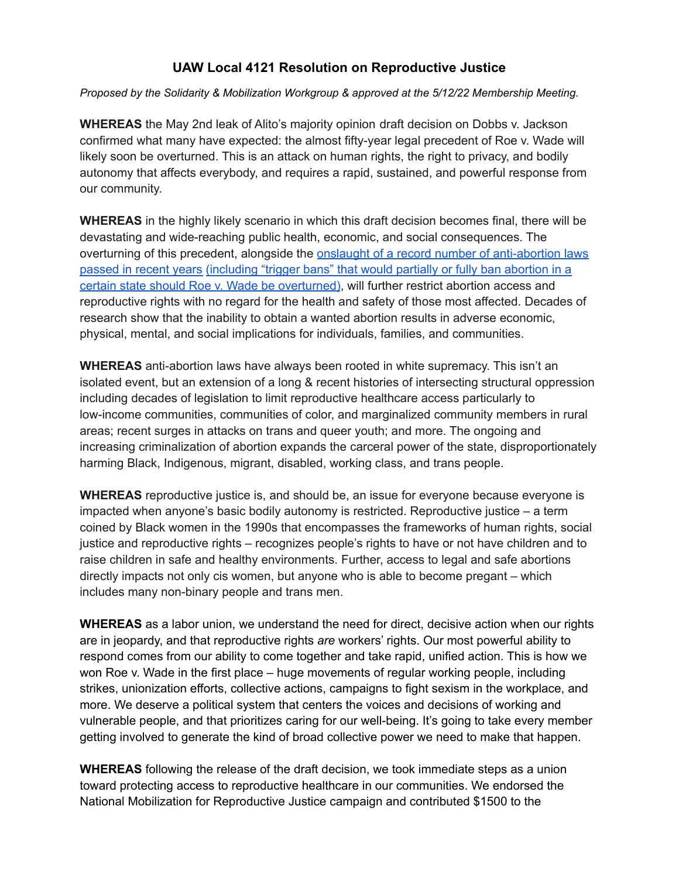## **UAW Local 4121 Resolution on Reproductive Justice**

*Proposed by the Solidarity & Mobilization Workgroup & approved at the 5/12/22 Membership Meeting.*

**WHEREAS** the May 2nd leak of Alito's majority opinion draft decision on Dobbs v. Jackson confirmed what many have expected: the almost fifty-year legal precedent of Roe v. Wade will likely soon be overturned. This is an attack on human rights, the right to privacy, and bodily autonomy that affects everybody, and requires a rapid, sustained, and powerful response from our community.

**WHEREAS** in the highly likely scenario in which this draft decision becomes final, there will be devastating and wide-reaching public health, economic, and social consequences. The overturning of this precedent, alongside the onslaught of a record number of [anti-abortion](https://www.guttmacher.org/article/2021/12/state-policy-trends-2021-worst-year-abortion-rights-almost-half-century) laws passed in recent years [\(including](https://www.guttmacher.org/article/2021/12/state-policy-trends-2021-worst-year-abortion-rights-almost-half-century) "trigger bans" that would partially or fully ban abortion in a certain state should Roe v. Wade be [overturned\)](https://www.guttmacher.org/article/2021/12/state-policy-trends-2021-worst-year-abortion-rights-almost-half-century), will further restrict abortion access and reproductive rights with no regard for the health and safety of those most affected. Decades of research show that the inability to obtain a wanted abortion results in adverse economic, physical, mental, and social implications for individuals, families, and communities.

**WHEREAS** anti-abortion laws have always been rooted in white supremacy. This isn't an isolated event, but an extension of a long & recent histories of intersecting structural oppression including decades of legislation to limit reproductive healthcare access particularly to low-income communities, communities of color, and marginalized community members in rural areas; recent surges in attacks on trans and queer youth; and more. The ongoing and increasing criminalization of abortion expands the carceral power of the state, disproportionately harming Black, Indigenous, migrant, disabled, working class, and trans people.

**WHEREAS** reproductive justice is, and should be, an issue for everyone because everyone is impacted when anyone's basic bodily autonomy is restricted. Reproductive justice – a term coined by Black women in the 1990s that encompasses the frameworks of human rights, social justice and reproductive rights – recognizes people's rights to have or not have children and to raise children in safe and healthy environments. Further, access to legal and safe abortions directly impacts not only cis women, but anyone who is able to become pregant – which includes many non-binary people and trans men.

**WHEREAS** as a labor union, we understand the need for direct, decisive action when our rights are in jeopardy, and that reproductive rights *are* workers' rights. Our most powerful ability to respond comes from our ability to come together and take rapid, unified action. This is how we won Roe v. Wade in the first place – huge movements of regular working people, including strikes, unionization efforts, collective actions, campaigns to fight sexism in the workplace, and more. We deserve a political system that centers the voices and decisions of working and vulnerable people, and that prioritizes caring for our well-being. It's going to take every member getting involved to generate the kind of broad collective power we need to make that happen.

**WHEREAS** following the release of the draft decision, we took immediate steps as a union toward protecting access to reproductive healthcare in our communities. We endorsed the National Mobilization for Reproductive Justice campaign and contributed \$1500 to the